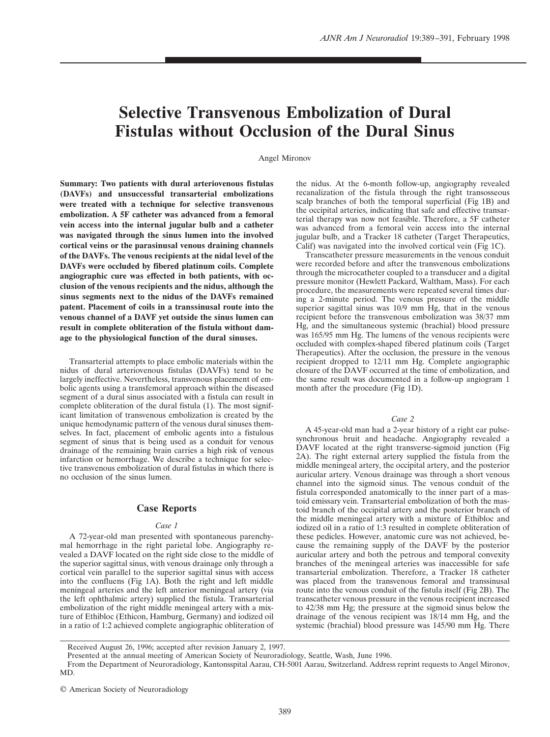# **Selective Transvenous Embolization of Dural Fistulas without Occlusion of the Dural Sinus**

Angel Mironov

**Summary: Two patients with dural arteriovenous fistulas (DAVFs) and unsuccessful transarterial embolizations were treated with a technique for selective transvenous embolization. A 5F catheter was advanced from a femoral vein access into the internal jugular bulb and a catheter was navigated through the sinus lumen into the involved cortical veins or the parasinusal venous draining channels of the DAVFs. The venous recipients at the nidal level of the DAVFs were occluded by fibered platinum coils. Complete angiographic cure was effected in both patients, with occlusion of the venous recipients and the nidus, although the sinus segments next to the nidus of the DAVFs remained patent. Placement of coils in a transsinusal route into the venous channel of a DAVF yet outside the sinus lumen can result in complete obliteration of the fistula without damage to the physiological function of the dural sinuses.**

Transarterial attempts to place embolic materials within the nidus of dural arteriovenous fistulas (DAVFs) tend to be largely ineffective. Nevertheless, transvenous placement of embolic agents using a transfemoral approach within the diseased segment of a dural sinus associated with a fistula can result in complete obliteration of the dural fistula (1). The most significant limitation of transvenous embolization is created by the unique hemodynamic pattern of the venous dural sinuses themselves. In fact, placement of embolic agents into a fistulous segment of sinus that is being used as a conduit for venous drainage of the remaining brain carries a high risk of venous infarction or hemorrhage. We describe a technique for selective transvenous embolization of dural fistulas in which there is no occlusion of the sinus lumen.

### **Case Reports**

## *Case 1*

A 72-year-old man presented with spontaneous parenchymal hemorrhage in the right parietal lobe. Angiography revealed a DAVF located on the right side close to the middle of the superior sagittal sinus, with venous drainage only through a cortical vein parallel to the superior sagittal sinus with access into the confluens (Fig 1A). Both the right and left middle meningeal arteries and the left anterior meningeal artery (via the left ophthalmic artery) supplied the fistula. Transarterial embolization of the right middle meningeal artery with a mixture of Ethibloc (Ethicon, Hamburg, Germany) and iodized oil in a ratio of 1:2 achieved complete angiographic obliteration of the nidus. At the 6-month follow-up, angiography revealed recanalization of the fistula through the right transosseous scalp branches of both the temporal superficial (Fig 1B) and the occipital arteries, indicating that safe and effective transarterial therapy was now not feasible. Therefore, a 5F catheter was advanced from a femoral vein access into the internal jugular bulb, and a Tracker 18 catheter (Target Therapeutics, Calif) was navigated into the involved cortical vein (Fig 1C).

Transcatheter pressure measurements in the venous conduit were recorded before and after the transvenous embolizations through the microcatheter coupled to a transducer and a digital pressure monitor (Hewlett Packard, Waltham, Mass). For each procedure, the measurements were repeated several times during a 2-minute period. The venous pressure of the middle superior sagittal sinus was 10/9 mm Hg, that in the venous recipient before the transvenous embolization was 38/37 mm Hg, and the simultaneous systemic (brachial) blood pressure was 165/95 mm Hg. The lumens of the venous recipients were occluded with complex-shaped fibered platinum coils (Target Therapeutics). After the occlusion, the pressure in the venous recipient dropped to 12/11 mm Hg. Complete angiographic closure of the DAVF occurred at the time of embolization, and the same result was documented in a follow-up angiogram 1 month after the procedure (Fig 1D).

#### *Case 2*

A 45-year-old man had a 2-year history of a right ear pulsesynchronous bruit and headache. Angiography revealed a DAVF located at the right transverse-sigmoid junction (Fig 2A). The right external artery supplied the fistula from the middle meningeal artery, the occipital artery, and the posterior auricular artery. Venous drainage was through a short venous channel into the sigmoid sinus. The venous conduit of the fistula corresponded anatomically to the inner part of a mastoid emissary vein. Transarterial embolization of both the mastoid branch of the occipital artery and the posterior branch of the middle meningeal artery with a mixture of Ethibloc and iodized oil in a ratio of 1:3 resulted in complete obliteration of these pedicles. However, anatomic cure was not achieved, because the remaining supply of the DAVF by the posterior auricular artery and both the petrous and temporal convexity branches of the meningeal arteries was inaccessible for safe transarterial embolization. Therefore, a Tracker 18 catheter was placed from the transvenous femoral and transsinusal route into the venous conduit of the fistula itself (Fig 2B). The transcatheter venous pressure in the venous recipient increased to 42/38 mm Hg; the pressure at the sigmoid sinus below the drainage of the venous recipient was 18/14 mm Hg, and the systemic (brachial) blood pressure was 145/90 mm Hg. There

Received August 26, 1996; accepted after revision January 2, 1997.

Presented at the annual meeting of American Society of Neuroradiology, Seattle, Wash, June 1996.

From the Department of Neuroradiology, Kantonsspital Aarau, CH-5001 Aarau, Switzerland. Address reprint requests to Angel Mironov, MD.

<sup>©</sup> American Society of Neuroradiology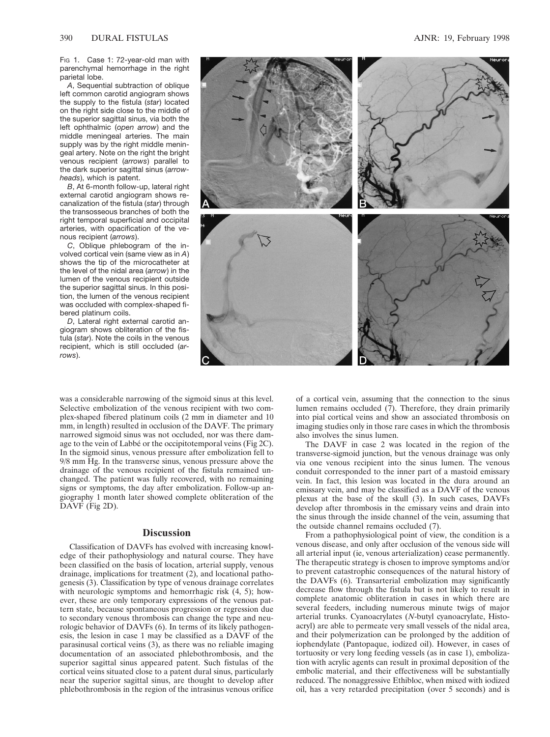Fig 1. Case 1: 72-year-old man with parenchymal hemorrhage in the right parietal lobe.

*A*, Sequential subtraction of oblique left common carotid angiogram shows the supply to the fistula (*star*) located on the right side close to the middle of the superior sagittal sinus, via both the left ophthalmic (*open arrow*) and the middle meningeal arteries. The main supply was by the right middle meningeal artery. Note on the right the bright venous recipient (*arrows*) parallel to the dark superior sagittal sinus (*arrowheads*), which is patent.

*B*, At 6-month follow-up, lateral right external carotid angiogram shows recanalization of the fistula (*star*) through the transosseous branches of both the right temporal superficial and occipital arteries, with opacification of the venous recipient (*arrows*).

*C*, Oblique phlebogram of the involved cortical vein (same view as in *A*) shows the tip of the microcatheter at the level of the nidal area (*arrow*) in the lumen of the venous recipient outside the superior sagittal sinus. In this position, the lumen of the venous recipient was occluded with complex-shaped fibered platinum coils.

*D*, Lateral right external carotid angiogram shows obliteration of the fistula (*star*). Note the coils in the venous recipient, which is still occluded (*arrows*).

was a considerable narrowing of the sigmoid sinus at this level. Selective embolization of the venous recipient with two complex-shaped fibered platinum coils (2 mm in diameter and 10 mm, in length) resulted in occlusion of the DAVF. The primary narrowed sigmoid sinus was not occluded, nor was there damage to the vein of Labbé or the occipitotemporal veins (Fig 2C). In the sigmoid sinus, venous pressure after embolization fell to 9/8 mm Hg. In the transverse sinus, venous pressure above the drainage of the venous recipient of the fistula remained unchanged. The patient was fully recovered, with no remaining signs or symptoms, the day after embolization. Follow-up angiography 1 month later showed complete obliteration of the DAVF (Fig 2D).

#### **Discussion**

Classification of DAVFs has evolved with increasing knowledge of their pathophysiology and natural course. They have been classified on the basis of location, arterial supply, venous drainage, implications for treatment (2), and locational pathogenesis (3). Classification by type of venous drainage correlates with neurologic symptoms and hemorrhagic risk  $(4, 5)$ ; however, these are only temporary expressions of the venous pattern state, because spontaneous progression or regression due to secondary venous thrombosis can change the type and neurologic behavior of DAVFs (6). In terms of its likely pathogenesis, the lesion in case 1 may be classified as a DAVF of the parasinusal cortical veins (3), as there was no reliable imaging documentation of an associated phlebothrombosis, and the superior sagittal sinus appeared patent. Such fistulas of the cortical veins situated close to a patent dural sinus, particularly near the superior sagittal sinus, are thought to develop after phlebothrombosis in the region of the intrasinus venous orifice



of a cortical vein, assuming that the connection to the sinus lumen remains occluded (7). Therefore, they drain primarily into pial cortical veins and show an associated thrombosis on imaging studies only in those rare cases in which the thrombosis also involves the sinus lumen.

The DAVF in case 2 was located in the region of the transverse-sigmoid junction, but the venous drainage was only via one venous recipient into the sinus lumen. The venous conduit corresponded to the inner part of a mastoid emissary vein. In fact, this lesion was located in the dura around an emissary vein, and may be classified as a DAVF of the venous plexus at the base of the skull (3). In such cases, DAVFs develop after thrombosis in the emissary veins and drain into the sinus through the inside channel of the vein, assuming that the outside channel remains occluded (7).

From a pathophysiological point of view, the condition is a venous disease, and only after occlusion of the venous side will all arterial input (ie, venous arterialization) cease permanently. The therapeutic strategy is chosen to improve symptoms and/or to prevent catastrophic consequences of the natural history of the DAVFs (6). Transarterial embolization may significantly decrease flow through the fistula but is not likely to result in complete anatomic obliteration in cases in which there are several feeders, including numerous minute twigs of major arterial trunks. Cyanoacrylates (*N*-butyl cyanoacrylate, Histoacryl) are able to permeate very small vessels of the nidal area, and their polymerization can be prolonged by the addition of iophendylate (Pantopaque, iodized oil). However, in cases of tortuosity or very long feeding vessels (as in case 1), embolization with acrylic agents can result in proximal deposition of the embolic material, and their effectiveness will be substantially reduced. The nonaggressive Ethibloc, when mixed with iodized oil, has a very retarded precipitation (over 5 seconds) and is